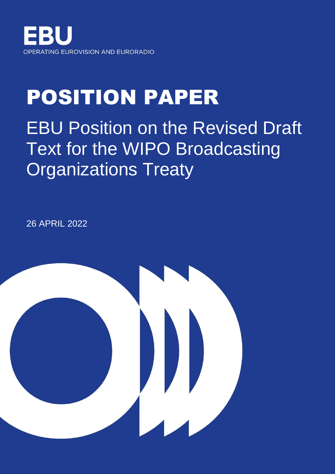

# POSITION PAPER

**EBU Position on the Revised Draft** Text for the WIPO Broadcasting Organizations Treaty

26 APRIL 2022

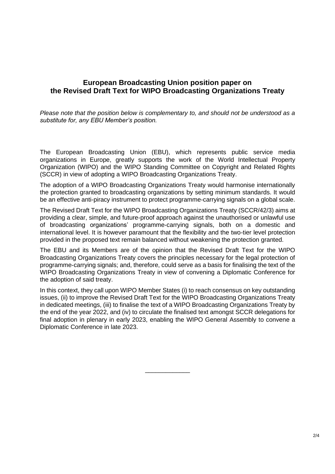# **European Broadcasting Union position paper on the Revised Draft Text for WIPO Broadcasting Organizations Treaty**

*Please note that the position below is complementary to, and should not be understood as a substitute for, any EBU Member's position.*

The European Broadcasting Union (EBU), which represents public service media organizations in Europe, greatly supports the work of the World Intellectual Property Organization (WIPO) and the WIPO Standing Committee on Copyright and Related Rights (SCCR) in view of adopting a WIPO Broadcasting Organizations Treaty.

The adoption of a WIPO Broadcasting Organizations Treaty would harmonise internationally the protection granted to broadcasting organizations by setting minimum standards. It would be an effective anti-piracy instrument to protect programme-carrying signals on a global scale.

The Revised Draft Text for the WIPO Broadcasting Organizations Treaty (SCCR/42/3) aims at providing a clear, simple, and future-proof approach against the unauthorised or unlawful use of broadcasting organizations' programme-carrying signals, both on a domestic and international level. It is however paramount that the flexibility and the two-tier level protection provided in the proposed text remain balanced without weakening the protection granted.

The EBU and its Members are of the opinion that the Revised Draft Text for the WIPO Broadcasting Organizations Treaty covers the principles necessary for the legal protection of programme-carrying signals; and, therefore, could serve as a basis for finalising the text of the WIPO Broadcasting Organizations Treaty in view of convening a Diplomatic Conference for the adoption of said treaty.

In this context, they call upon WIPO Member States (i) to reach consensus on key outstanding issues, (ii) to improve the Revised Draft Text for the WIPO Broadcasting Organizations Treaty in dedicated meetings, (iii) to finalise the text of a WIPO Broadcasting Organizations Treaty by the end of the year 2022, and (iv) to circulate the finalised text amongst SCCR delegations for final adoption in plenary in early 2023, enabling the WIPO General Assembly to convene a Diplomatic Conference in late 2023.

\_\_\_\_\_\_\_\_\_\_\_\_\_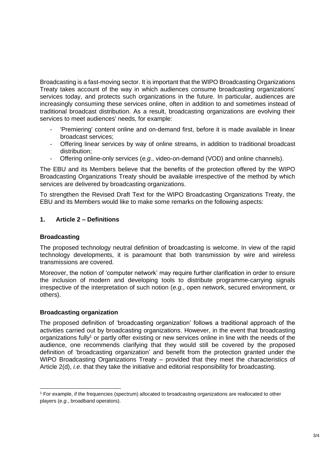Broadcasting is a fast-moving sector. It is important that the WIPO Broadcasting Organizations Treaty takes account of the way in which audiences consume broadcasting organizations' services today, and protects such organizations in the future. In particular, audiences are increasingly consuming these services online, often in addition to and sometimes instead of traditional broadcast distribution. As a result, broadcasting organizations are evolving their services to meet audiences' needs, for example:

- 'Premiering' content online and on-demand first, before it is made available in linear broadcast services;
- Offering linear services by way of online streams, in addition to traditional broadcast distribution;
- Offering online-only services (*e.g*., video-on-demand (VOD) and online channels).

The EBU and its Members believe that the benefits of the protection offered by the WIPO Broadcasting Organizations Treaty should be available irrespective of the method by which services are delivered by broadcasting organizations.

To strengthen the Revised Draft Text for the WIPO Broadcasting Organizations Treaty, the EBU and its Members would like to make some remarks on the following aspects:

# **1. Article 2 – Definitions**

#### **Broadcasting**

The proposed technology neutral definition of broadcasting is welcome. In view of the rapid technology developments, it is paramount that both transmission by wire and wireless transmissions are covered.

Moreover, the notion of 'computer network' may require further clarification in order to ensure the inclusion of modern and developing tools to distribute programme-carrying signals irrespective of the interpretation of such notion (*e.g*., open network, secured environment, or others).

#### **Broadcasting organization**

The proposed definition of 'broadcasting organization' follows a traditional approach of the activities carried out by broadcasting organizations. However, in the event that broadcasting organizations fully<sup>1</sup> or partly offer existing or new services online in line with the needs of the audience, one recommends clarifying that they would still be covered by the proposed definition of 'broadcasting organization' and benefit from the protection granted under the WIPO Broadcasting Organizations Treaty - provided that they meet the characteristics of Article 2(d), *i.e*. that they take the initiative and editorial responsibility for broadcasting.

<sup>1</sup> For example, if the frequencies (spectrum) allocated to broadcasting organizations are reallocated to other players (*e.g*., broadband operators).